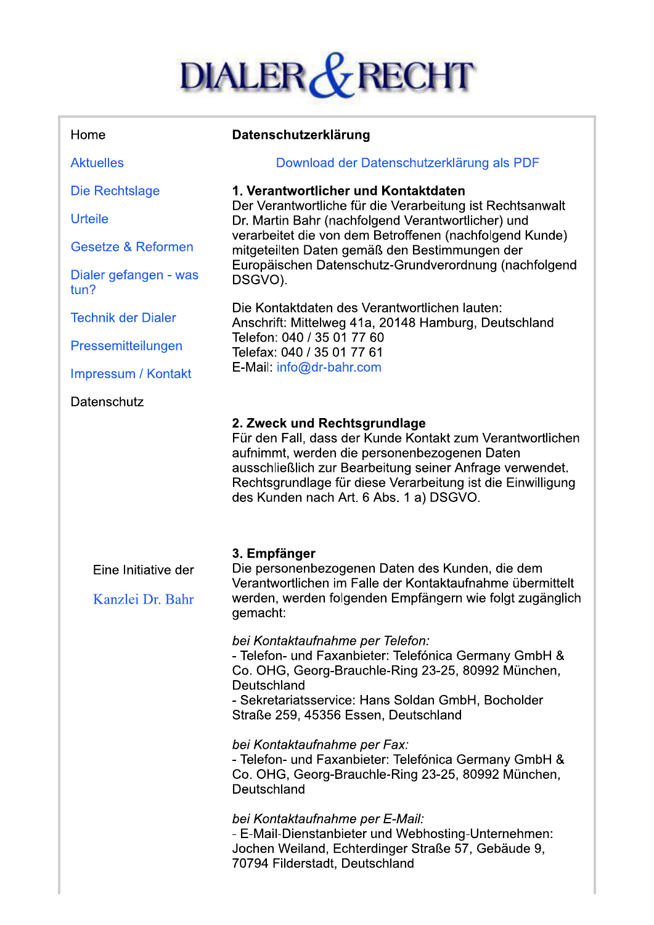# DIALER & RECHT

| Home                                    | Datenschutzerklärung                                                                                                                                                                                                                                                                                                                    |
|-----------------------------------------|-----------------------------------------------------------------------------------------------------------------------------------------------------------------------------------------------------------------------------------------------------------------------------------------------------------------------------------------|
| <b>Aktuelles</b>                        | Download der Datenschutzerklärung als PDF                                                                                                                                                                                                                                                                                               |
| Die Rechtslage                          | 1. Verantwortlicher und Kontaktdaten<br>Der Verantwortliche für die Verarbeitung ist Rechtsanwalt<br>Dr. Martin Bahr (nachfolgend Verantwortlicher) und<br>verarbeitet die von dem Betroffenen (nachfolgend Kunde)<br>mitgeteilten Daten gemäß den Bestimmungen der<br>Europäischen Datenschutz-Grundverordnung (nachfolgend<br>DSGVO). |
| <b>Urteile</b>                          |                                                                                                                                                                                                                                                                                                                                         |
| Gesetze & Reformen                      |                                                                                                                                                                                                                                                                                                                                         |
| Dialer gefangen - was<br>tun?           |                                                                                                                                                                                                                                                                                                                                         |
| <b>Technik der Dialer</b>               | Die Kontaktdaten des Verantwortlichen lauten:<br>Anschrift: Mittelweg 41a, 20148 Hamburg, Deutschland<br>Telefon: 040 / 35 01 77 60<br>Telefax: 040 / 35 01 77 61<br>E-Mail: info@dr-bahr.com                                                                                                                                           |
| Pressemitteilungen                      |                                                                                                                                                                                                                                                                                                                                         |
| Impressum / Kontakt                     |                                                                                                                                                                                                                                                                                                                                         |
| Datenschutz                             |                                                                                                                                                                                                                                                                                                                                         |
|                                         | 2. Zweck und Rechtsgrundlage<br>Für den Fall, dass der Kunde Kontakt zum Verantwortlichen<br>aufnimmt, werden die personenbezogenen Daten<br>ausschließlich zur Bearbeitung seiner Anfrage verwendet.<br>Rechtsgrundlage für diese Verarbeitung ist die Einwilligung<br>des Kunden nach Art. 6 Abs. 1 a) DSGVO.                         |
| Eine Initiative der<br>Kanzlei Dr. Bahr | 3. Empfänger<br>Die personenbezogenen Daten des Kunden, die dem<br>Verantwortlichen im Falle der Kontaktaufnahme übermittelt<br>werden, werden folgenden Empfängern wie folgt zugänglich<br>gemacht:                                                                                                                                    |
|                                         | bei Kontaktaufnahme per Telefon:<br>- Telefon- und Faxanbieter: Telefónica Germany GmbH &<br>Co. OHG, Georg-Brauchle-Ring 23-25, 80992 München,<br>Deutschland<br>- Sekretariatsservice: Hans Soldan GmbH, Bocholder<br>Straße 259, 45356 Essen, Deutschland                                                                            |
|                                         | bei Kontaktaufnahme per Fax:<br>- Telefon- und Faxanbieter: Telefónica Germany GmbH &<br>Co. OHG, Georg-Brauchle-Ring 23-25, 80992 München,<br>Deutschland                                                                                                                                                                              |
|                                         | bei Kontaktaufnahme per E-Mail:<br>- E-Mail-Dienstanbieter und Webhosting-Unternehmen:<br>Jochen Weiland, Echterdinger Straße 57, Gebäude 9,<br>70794 Filderstadt, Deutschland                                                                                                                                                          |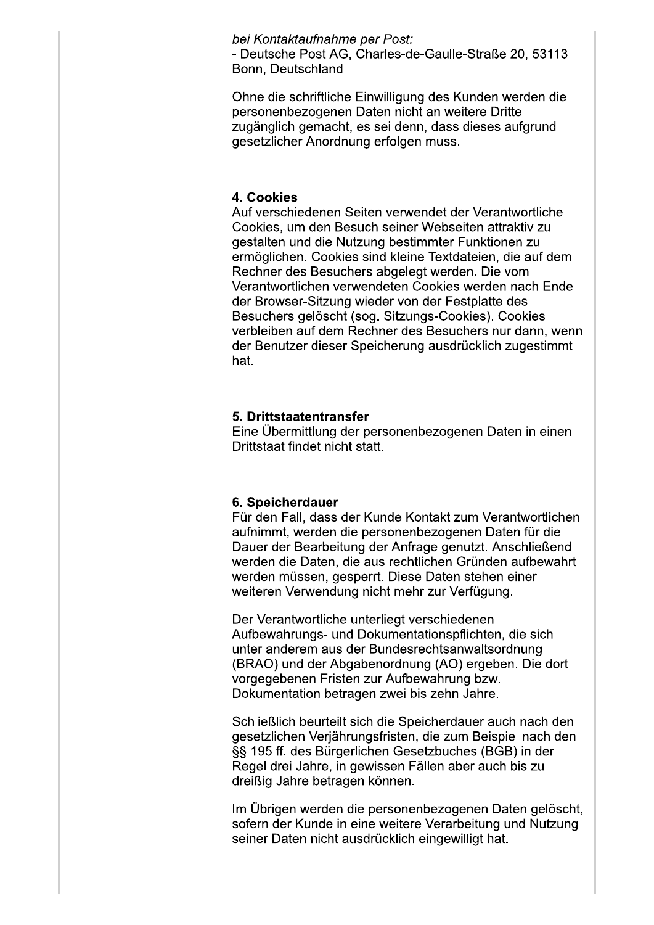bei Kontaktaufnahme per Post: - Deutsche Post AG, Charles-de-Gaulle-Straße 20, 53113 Bonn. Deutschland

Ohne die schriftliche Einwilligung des Kunden werden die personenbezogenen Daten nicht an weitere Dritte zugänglich gemacht, es sei denn, dass dieses aufgrund gesetzlicher Anordnung erfolgen muss.

#### 4. Cookies

Auf verschiedenen Seiten verwendet der Verantwortliche Cookies, um den Besuch seiner Webseiten attraktiv zu gestalten und die Nutzung bestimmter Funktionen zu ermöglichen. Cookies sind kleine Textdateien, die auf dem Rechner des Besuchers abgelegt werden. Die vom Verantwortlichen verwendeten Cookies werden nach Ende der Browser-Sitzung wieder von der Festplatte des Besuchers gelöscht (sog. Sitzungs-Cookies). Cookies verbleiben auf dem Rechner des Besuchers nur dann, wenn der Benutzer dieser Speicherung ausdrücklich zugestimmt hat.

#### 5. Drittstaatentransfer

Eine Übermittlung der personenbezogenen Daten in einen Drittstaat findet nicht statt.

#### 6. Speicherdauer

Für den Fall, dass der Kunde Kontakt zum Verantwortlichen aufnimmt, werden die personenbezogenen Daten für die Dauer der Bearbeitung der Anfrage genutzt. Anschließend werden die Daten, die aus rechtlichen Gründen aufbewahrt werden müssen, gesperrt. Diese Daten stehen einer weiteren Verwendung nicht mehr zur Verfügung.

Der Verantwortliche unterliegt verschiedenen Aufbewahrungs- und Dokumentationspflichten, die sich unter anderem aus der Bundesrechtsanwaltsordnung (BRAO) und der Abgabenordnung (AO) ergeben. Die dort vorgegebenen Fristen zur Aufbewahrung bzw. Dokumentation betragen zwei bis zehn Jahre.

Schließlich beurteilt sich die Speicherdauer auch nach den gesetzlichen Verjährungsfristen, die zum Beispiel nach den §§ 195 ff. des Bürgerlichen Gesetzbuches (BGB) in der Regel drei Jahre, in gewissen Fällen aber auch bis zu dreißig Jahre betragen können.

Im Übrigen werden die personenbezogenen Daten gelöscht, sofern der Kunde in eine weitere Verarbeitung und Nutzung seiner Daten nicht ausdrücklich eingewilligt hat.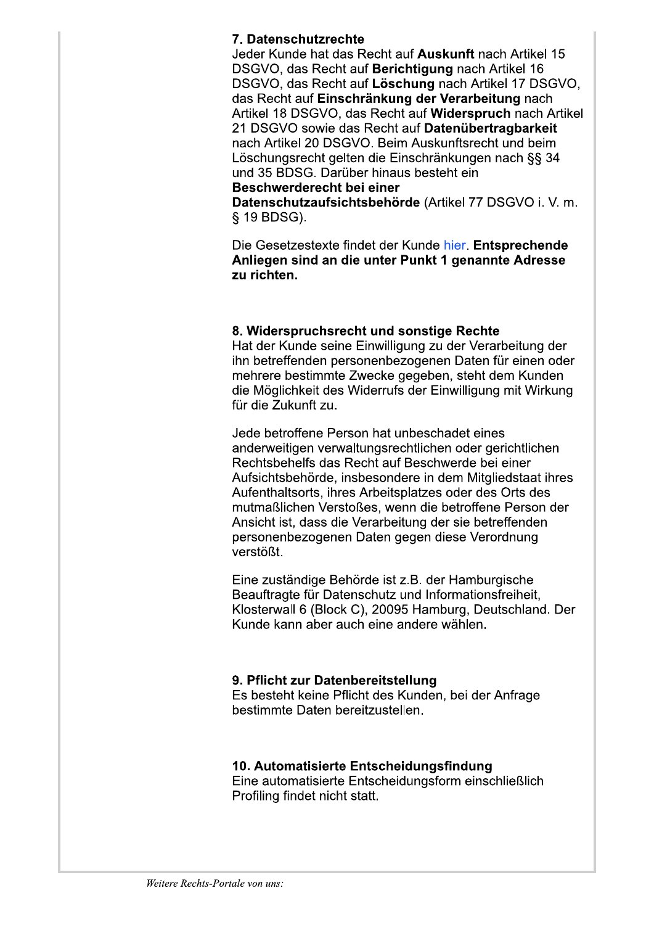## 7. Datenschutzrechte

Jeder Kunde hat das Recht auf Auskunft nach Artikel 15 DSGVO, das Recht auf Berichtigung nach Artikel 16 DSGVO, das Recht auf Löschung nach Artikel 17 DSGVO, das Recht auf Einschränkung der Verarbeitung nach Artikel 18 DSGVO, das Recht auf Widerspruch nach Artikel 21 DSGVO sowie das Recht auf Datenübertragbarkeit nach Artikel 20 DSGVO. Beim Auskunftsrecht und beim Löschungsrecht gelten die Einschränkungen nach §§ 34 und 35 BDSG. Darüber hinaus besteht ein

## Beschwerderecht bei einer

Datenschutzaufsichtsbehörde (Artikel 77 DSGVO i. V. m. § 19 BDSG).

Die Gesetzestexte findet der Kunde hier. Entsprechende Anliegen sind an die unter Punkt 1 genannte Adresse zu richten.

#### 8. Widerspruchsrecht und sonstige Rechte

Hat der Kunde seine Einwilligung zu der Verarbeitung der ihn betreffenden personenbezogenen Daten für einen oder mehrere bestimmte Zwecke gegeben, steht dem Kunden die Möglichkeit des Widerrufs der Einwilligung mit Wirkung für die Zukunft zu

Jede betroffene Person hat unbeschadet eines anderweitigen verwaltungsrechtlichen oder gerichtlichen Rechtsbehelfs das Recht auf Beschwerde bei einer Aufsichtsbehörde, insbesondere in dem Mitgliedstaat ihres Aufenthaltsorts, ihres Arbeitsplatzes oder des Orts des mutmaßlichen Verstoßes, wenn die betroffene Person der Ansicht ist, dass die Verarbeitung der sie betreffenden personenbezogenen Daten gegen diese Verordnung verstößt.

Eine zuständige Behörde ist z.B. der Hamburgische Beauftragte für Datenschutz und Informationsfreiheit. Klosterwall 6 (Block C), 20095 Hamburg, Deutschland, Der Kunde kann aber auch eine andere wählen.

## 9. Pflicht zur Datenbereitstellung

Es besteht keine Pflicht des Kunden, bei der Anfrage bestimmte Daten bereitzustellen

## 10. Automatisierte Entscheidungsfindung

Eine automatisierte Entscheidungsform einschließlich Profiling findet nicht statt.